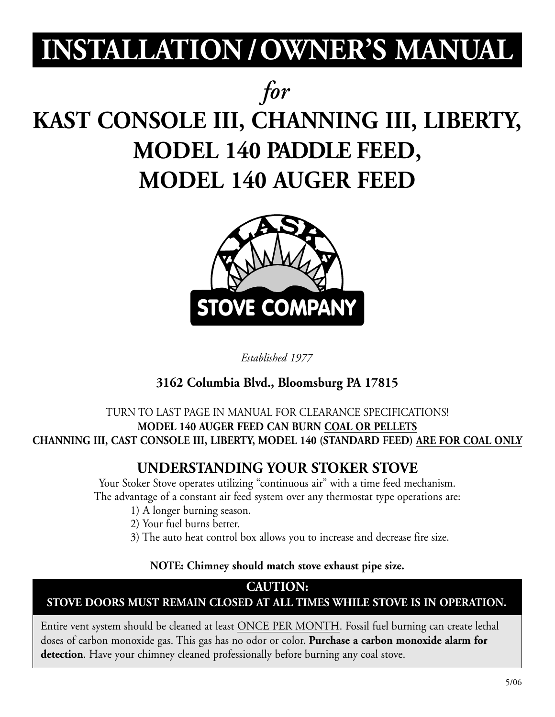# **INSTALLATION /OWNER'S MANUAL**

# *for*

# **KAST CONSOLE III, CHANNING III, LIBERTY, MODEL 140 PADDLE FEED, MODEL 140 AUGER FEED**



*Established 1977*

## **3162 Columbia Blvd., Bloomsburg PA 17815**

### TURN TO LAST PAGE IN MANUAL FOR CLEARANCE SPECIFICATIONS! **MODEL 140 AUGER FEED CAN BURN COAL OR PELLETS CHANNING III, CAST CONSOLE III, LIBERTY, MODEL 140 (STANDARD FEED) ARE FOR COAL ONLY**

# **UNDERSTANDING YOUR STOKER STOVE**

Your Stoker Stove operates utilizing "continuous air" with a time feed mechanism. The advantage of a constant air feed system over any thermostat type operations are:

- 1) A longer burning season.
- 2) Your fuel burns better.
- 3) The auto heat control box allows you to increase and decrease fire size.

### **NOTE: Chimney should match stove exhaust pipe size.**

## **CAUTION:**

### **STOVE DOORS MUST REMAIN CLOSED AT ALL TIMES WHILE STOVE IS IN OPERATION.**

Entire vent system should be cleaned at least ONCE PER MONTH. Fossil fuel burning can create lethal doses of carbon monoxide gas. This gas has no odor or color. **Purchase a carbon monoxide alarm for detection**. Have your chimney cleaned professionally before burning any coal stove.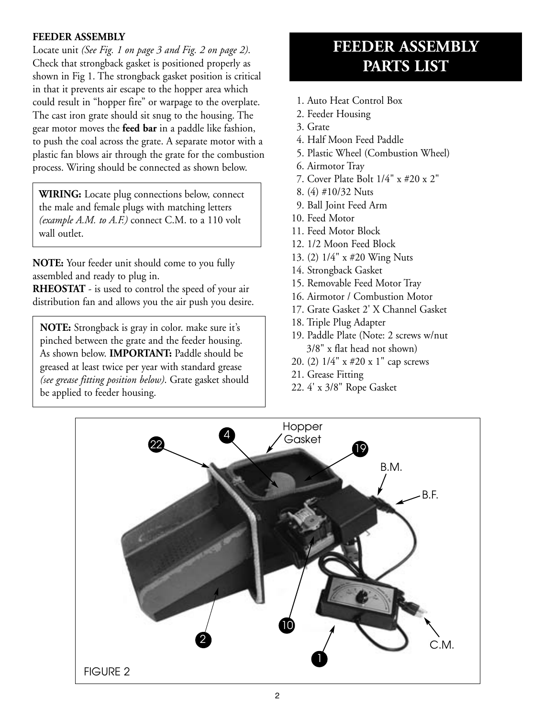#### **FEEDER ASSEMBLY**

Locate unit *(See Fig. 1 on page 3 and Fig. 2 on page 2)*. Check that strongback gasket is positioned properly as shown in Fig 1. The strongback gasket position is critical in that it prevents air escape to the hopper area which could result in "hopper fire" or warpage to the overplate. The cast iron grate should sit snug to the housing. The gear motor moves the **feed bar** in a paddle like fashion, to push the coal across the grate. A separate motor with a plastic fan blows air through the grate for the combustion process. Wiring should be connected as shown below.

**WIRING:** Locate plug connections below, connect the male and female plugs with matching letters *(example A.M. to A.F.)* connect C.M. to a 110 volt wall outlet.

**NOTE:** Your feeder unit should come to you fully assembled and ready to plug in.

**RHEOSTAT** - is used to control the speed of your air distribution fan and allows you the air push you desire.

**NOTE:** Strongback is gray in color. make sure it's pinched between the grate and the feeder housing. As shown below. **IMPORTANT:** Paddle should be greased at least twice per year with standard grease *(see grease fitting position below)*. Grate gasket should be applied to feeder housing.

# **FEEDER ASSEMBLY PARTS LIST**

- 1. Auto Heat Control Box
- 2. Feeder Housing
- 3. Grate
- 4. Half Moon Feed Paddle
- 5. Plastic Wheel (Combustion Wheel)
- 6. Airmotor Tray
- 7. Cover Plate Bolt 1/4" x #20 x 2"
- 8. (4) #10/32 Nuts
- 9. Ball Joint Feed Arm
- 10. Feed Motor
- 11. Feed Motor Block
- 12. 1/2 Moon Feed Block
- 13. (2) 1/4" x #20 Wing Nuts
- 14. Strongback Gasket
- 15. Removable Feed Motor Tray
- 16. Airmotor / Combustion Motor
- 17. Grate Gasket 2' X Channel Gasket
- 18. Triple Plug Adapter
- 19. Paddle Plate (Note: 2 screws w/nut 3/8" x flat head not shown)
- 20. (2) 1/4" x #20 x 1" cap screws
- 21. Grease Fitting
- 22. 4' x 3/8" Rope Gasket

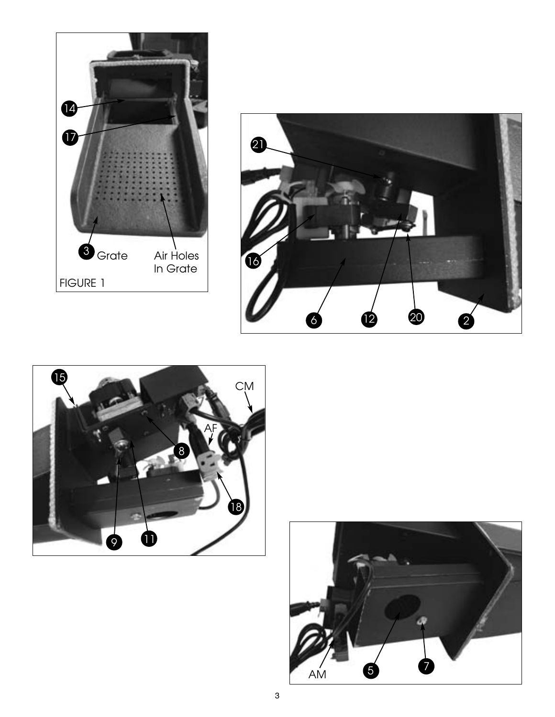





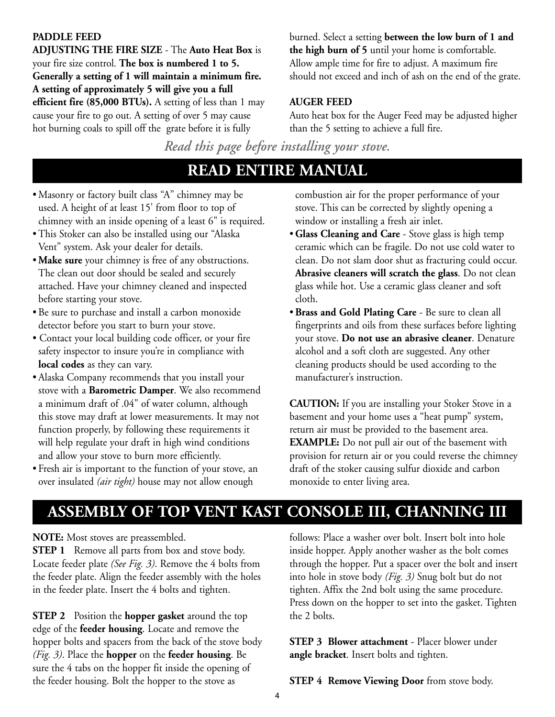#### **PADDLE FEED**

**ADJUSTING THE FIRE SIZE** - The **Auto Heat Box** is your fire size control. **The box is numbered 1 to 5. Generally a setting of 1 will maintain a minimum fire. A setting of approximately 5 will give you a full efficient fire (85,000 BTUs).** A setting of less than 1 may cause your fire to go out. A setting of over 5 may cause hot burning coals to spill off the grate before it is fully

burned. Select a setting **between the low burn of 1 and the high burn of 5** until your home is comfortable. Allow ample time for fire to adjust. A maximum fire should not exceed and inch of ash on the end of the grate.

#### **AUGER FEED**

Auto heat box for the Auger Feed may be adjusted higher than the 5 setting to achieve a full fire.

*Read this page before installing your stove.*

# **READ ENTIRE MANUAL**

- Masonry or factory built class "A" chimney may be used. A height of at least 15' from floor to top of chimney with an inside opening of a least 6" is required.
- This Stoker can also be installed using our "Alaska Vent" system. Ask your dealer for details.
- **Make sure** your chimney is free of any obstructions. The clean out door should be sealed and securely attached. Have your chimney cleaned and inspected before starting your stove.
- Be sure to purchase and install a carbon monoxide detector before you start to burn your stove.
- Contact your local building code officer, or your fire safety inspector to insure you're in compliance with **local codes** as they can vary.
- Alaska Company recommends that you install your stove with a **Barometric Damper**. We also recommend a minimum draft of .04" of water column, although this stove may draft at lower measurements. It may not function properly, by following these requirements it will help regulate your draft in high wind conditions and allow your stove to burn more efficiently.
- Fresh air is important to the function of your stove, an over insulated *(air tight)* house may not allow enough

combustion air for the proper performance of your stove. This can be corrected by slightly opening a window or installing a fresh air inlet.

- **Glass Cleaning and Care** Stove glass is high temp ceramic which can be fragile. Do not use cold water to clean. Do not slam door shut as fracturing could occur. **Abrasive cleaners will scratch the glass**. Do not clean glass while hot. Use a ceramic glass cleaner and soft cloth.
- **Brass and Gold Plating Care** Be sure to clean all fingerprints and oils from these surfaces before lighting your stove. **Do not use an abrasive cleaner**. Denature alcohol and a soft cloth are suggested. Any other cleaning products should be used according to the manufacturer's instruction.

**CAUTION:** If you are installing your Stoker Stove in a basement and your home uses a "heat pump" system, return air must be provided to the basement area. **EXAMPLE:** Do not pull air out of the basement with provision for return air or you could reverse the chimney draft of the stoker causing sulfur dioxide and carbon monoxide to enter living area.

## **ASSEMBLY OF TOP VENT KAST CONSOLE III, CHANNING III**

**NOTE:** Most stoves are preassembled.

**STEP 1** Remove all parts from box and stove body. Locate feeder plate *(See Fig. 3)*. Remove the 4 bolts from the feeder plate. Align the feeder assembly with the holes in the feeder plate. Insert the 4 bolts and tighten.

**STEP 2** Position the **hopper gasket** around the top edge of the **feeder housing**. Locate and remove the hopper bolts and spacers from the back of the stove body *(Fig. 3)*. Place the **hopper** on the **feeder housing**. Be sure the 4 tabs on the hopper fit inside the opening of the feeder housing. Bolt the hopper to the stove as

follows: Place a washer over bolt. Insert bolt into hole inside hopper. Apply another washer as the bolt comes through the hopper. Put a spacer over the bolt and insert into hole in stove body *(Fig. 3)* Snug bolt but do not tighten. Affix the 2nd bolt using the same procedure. Press down on the hopper to set into the gasket. Tighten the 2 bolts.

**STEP 3 Blower attachment** - Placer blower under **angle bracket**. Insert bolts and tighten.

**STEP 4 Remove Viewing Door** from stove body.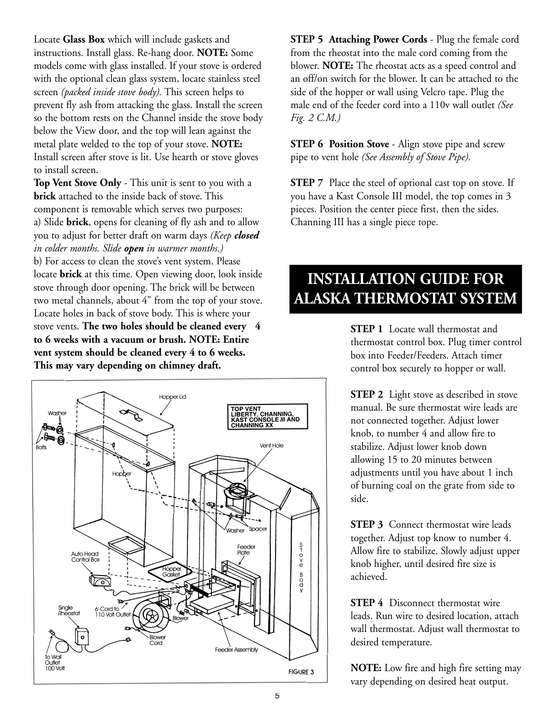Locate **Glass Box** which will include gaskets and instructions. Install glass. Re-hang door. **NOTE:** Some models come with glass installed. If your stove is ordered with the optional clean glass system, locate stainless steel screen *(packed inside stove body).* This screen helps to prevent fly ash from attacking the glass. Install the screen so the bottom rests on the Channel inside the stove body below the View door, and the top will lean against the metal plate welded to the top of your stove. **NOTE:** Install screen after stove is lit. Use hearth or stove gloves to install screen.

**Top Vent Stove Only** - This unit is sent to you with a **brick** attached to the inside back of stove. This component is removable which serves two purposes: a) Slide **brick**, opens for cleaning of fly ash and to allow you to adjust for better draft on warm days *(Keep closed in colder months. Slide open in warmer months.)* b) For access to clean the stove's vent system. Please locate **brick** at this time. Open viewing door, look inside stove through door opening. The brick will be between two metal channels, about 4" from the top of your stove. Locate holes in back of stove body. This is where your stove vents. **The two holes should be cleaned every 4 to 6 weeks with a vacuum or brush. NOTE: Entire vent system should be cleaned every 4 to 6 weeks. This may vary depending on chimney draft.**



**STEP 5 Attaching Power Cords** - Plug the female cord from the rheostat into the male cord coming from the blower. **NOTE:** The rheostat acts as a speed control and an off/on switch for the blower. It can be attached to the side of the hopper or wall using Velcro tape. Plug the male end of the feeder cord into a 110v wall outlet *(See Fig. 2 C.M.)*

**STEP 6 Position Stove** - Align stove pipe and screw pipe to vent hole *(See Assembly of Stove Pipe).*

**STEP** 7 Place the steel of optional cast top on stove. If you have a Kast Console III model, the top comes in 3 pieces. Position the center piece first, then the sides. Channing III has a single piece tope.

# **INSTALLATION GUIDE FOR ALASKA THERMOSTAT SYSTEM**

**STEP 1** Locate wall thermostat and thermostat control box. Plug timer control box into Feeder/Feeders. Attach timer control box securely to hopper or wall.

**STEP 2** Light stove as described in stove manual. Be sure thermostat wire leads are not connected together. Adjust lower knob, to number 4 and allow fire to stabilize. Adjust lower knob down allowing 15 to 20 minutes between adjustments until you have about 1 inch of burning coal on the grate from side to side.

**STEP 3** Connect thermostat wire leads together. Adjust top know to number 4. Allow fire to stabilize. Slowly adjust upper knob higher, until desired fire size is achieved.

**STEP 4** Disconnect thermostat wire leads. Run wire to desired location, attach wall thermostat. Adjust wall thermostat to desired temperature.

**NOTE:** Low fire and high fire setting may vary depending on desired heat output.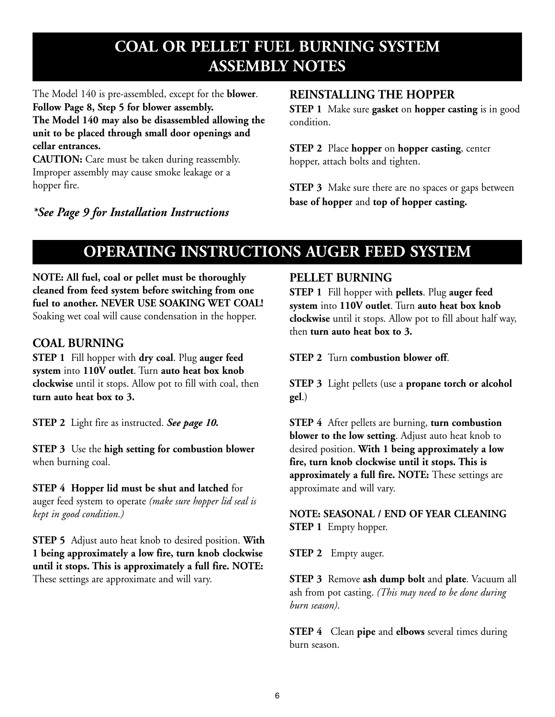# **COAL OR PELLET FUEL BURNING SYSTEM ASSEMBLY NOTES**

The Model 140 is pre-assembled, except for the **blower**. **Follow Page 8, Step 5 for blower assembly. The Model 140 may also be disassembled allowing the unit to be placed through small door openings and cellar entrances.**

**CAUTION:** Care must be taken during reassembly. Improper assembly may cause smoke leakage or a hopper fire.

#### *\*See Page 9 for Installation Instructions*

#### **REINSTALLING THE HOPPER**

**STEP 1** Make sure **gasket** on **hopper casting** is in good condition.

**STEP 2** Place **hopper** on **hopper casting**, center hopper, attach bolts and tighten.

**STEP 3** Make sure there are no spaces or gaps between **base of hopper** and **top of hopper casting.**

# **OPERATING INSTRUCTIONS AUGER FEED SYSTEM**

**NOTE: All fuel, coal or pellet must be thoroughly cleaned from feed system before switching from one fuel to another. NEVER USE SOAKING WET COAL!** Soaking wet coal will cause condensation in the hopper.

#### **COAL BURNING**

**STEP 1** Fill hopper with **dry coal**. Plug **auger feed system** into **110V outlet**. Turn **auto heat box knob clockwise** until it stops. Allow pot to fill with coal, then **turn auto heat box to 3.**

**STEP 2** Light fire as instructed. *See page 10.*

**STEP 3** Use the **high setting for combustion blower** when burning coal.

#### **STEP 4 Hopper lid must be shut and latched** for

auger feed system to operate *(make sure hopper lid seal is kept in good condition.)*

**STEP 5** Adjust auto heat knob to desired position. **With 1 being approximately a low fire, turn knob clockwise until it stops. This is approximately a full fire. NOTE:** These settings are approximate and will vary.

#### **PELLET BURNING**

**STEP 1** Fill hopper with **pellets**. Plug **auger feed system** into **110V outlet**. Turn **auto heat box knob clockwise** until it stops. Allow pot to fill about half way, then **turn auto heat box to 3.**

**STEP 2** Turn **combustion blower off**.

**STEP 3** Light pellets (use a **propane torch or alcohol gel**.)

**STEP 4** After pellets are burning, **turn combustion blower to the low setting**. Adjust auto heat knob to desired position. **With 1 being approximately a low fire, turn knob clockwise until it stops. This is approximately a full fire. NOTE:** These settings are approximate and will vary.

**NOTE: SEASONAL / END OF YEAR CLEANING STEP 1** Empty hopper.

**STEP 2** Empty auger.

**STEP 3** Remove **ash dump bolt** and **plate**. Vacuum all ash from pot casting. *(This may need to be done during burn season)*.

**STEP 4** Clean **pipe** and **elbows** several times during burn season.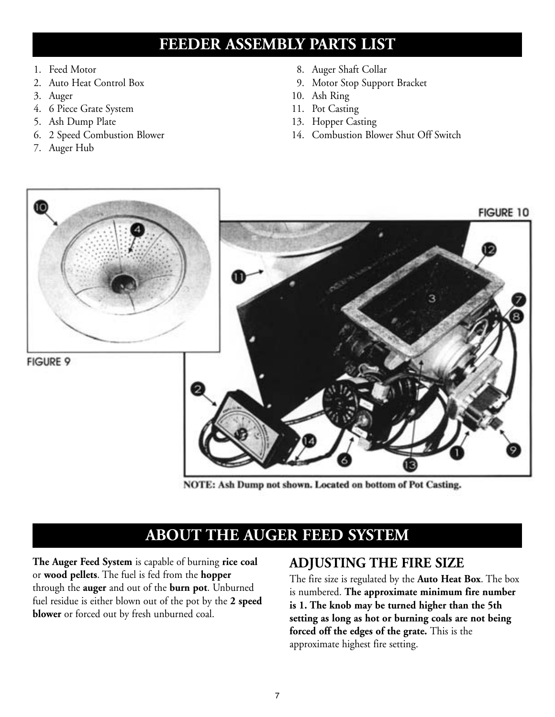# **FEEDER ASSEMBLY PARTS LIST**

- 1. Feed Motor
- 2. Auto Heat Control Box
- 3. Auger
- 4. 6 Piece Grate System
- 5. Ash Dump Plate
- 6. 2 Speed Combustion Blower
- 7. Auger Hub
- 8. Auger Shaft Collar
- 9. Motor Stop Support Bracket
- 10. Ash Ring
- 11. Pot Casting
- 13. Hopper Casting
- 14. Combustion Blower Shut Off Switch



NOTE: Ash Dump not shown. Located on bottom of Pot Casting.

# **ABOUT THE AUGER FEED SYSTEM**

**The Auger Feed System** is capable of burning **rice coal** or **wood pellets**. The fuel is fed from the **hopper** through the **auger** and out of the **burn pot**. Unburned fuel residue is either blown out of the pot by the **2 speed blower** or forced out by fresh unburned coal.

### **ADJUSTING THE FIRE SIZE**

The fire size is regulated by the **Auto Heat Box**. The box is numbered. **The approximate minimum fire number is 1. The knob may be turned higher than the 5th setting as long as hot or burning coals are not being forced off the edges of the grate.** This is the approximate highest fire setting.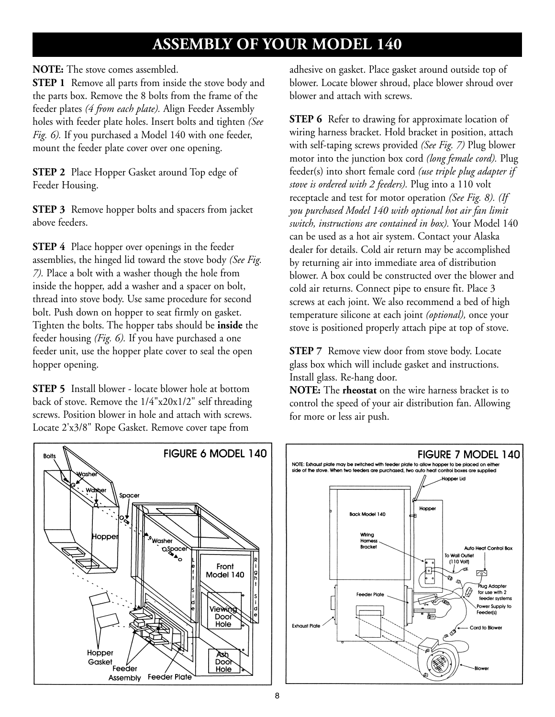# **ASSEMBLY OF YOUR MODEL 140**

**NOTE:** The stove comes assembled.

**STEP 1** Remove all parts from inside the stove body and the parts box. Remove the 8 bolts from the frame of the feeder plates *(4 from each plate).* Align Feeder Assembly holes with feeder plate holes. Insert bolts and tighten *(See Fig. 6).* If you purchased a Model 140 with one feeder, mount the feeder plate cover over one opening.

**STEP 2** Place Hopper Gasket around Top edge of Feeder Housing.

**STEP 3** Remove hopper bolts and spacers from jacket above feeders.

**STEP 4** Place hopper over openings in the feeder assemblies, the hinged lid toward the stove body *(See Fig. 7).* Place a bolt with a washer though the hole from inside the hopper, add a washer and a spacer on bolt, thread into stove body. Use same procedure for second bolt. Push down on hopper to seat firmly on gasket. Tighten the bolts. The hopper tabs should be **inside** the feeder housing *(Fig. 6).* If you have purchased a one feeder unit, use the hopper plate cover to seal the open hopper opening.

**STEP 5** Install blower - locate blower hole at bottom back of stove. Remove the 1/4"x20x1/2" self threading screws. Position blower in hole and attach with screws. Locate 2'x3/8" Rope Gasket. Remove cover tape from



adhesive on gasket. Place gasket around outside top of blower. Locate blower shroud, place blower shroud over blower and attach with screws.

**STEP 6** Refer to drawing for approximate location of wiring harness bracket. Hold bracket in position, attach with self-taping screws provided *(See Fig. 7)* Plug blower motor into the junction box cord *(long female cord).* Plug feeder(s) into short female cord *(use triple plug adapter if stove is ordered with 2 feeders).* Plug into a 110 volt receptacle and test for motor operation *(See Fig. 8). (If you purchased Model 140 with optional hot air fan limit switch, instructions are contained in box).* Your Model 140 can be used as a hot air system. Contact your Alaska dealer for details. Cold air return may be accomplished by returning air into immediate area of distribution blower. A box could be constructed over the blower and cold air returns. Connect pipe to ensure fit. Place 3 screws at each joint. We also recommend a bed of high temperature silicone at each joint *(optional),* once your stove is positioned properly attach pipe at top of stove.

**STEP 7** Remove view door from stove body. Locate glass box which will include gasket and instructions. Install glass. Re-hang door.

**NOTE:** The **rheostat** on the wire harness bracket is to control the speed of your air distribution fan. Allowing for more or less air push.

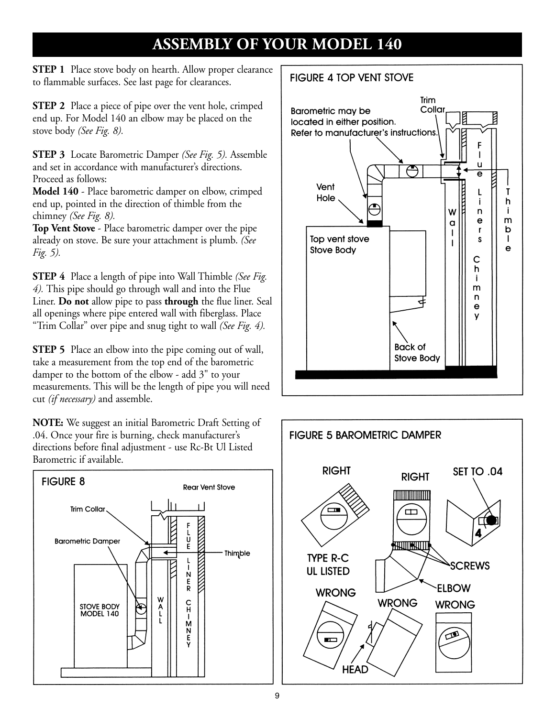# **ASSEMBLY OF YOUR MODEL 140**

**STEP 1** Place stove body on hearth. Allow proper clearance to flammable surfaces. See last page for clearances.

**STEP 2** Place a piece of pipe over the vent hole, crimped end up. For Model 140 an elbow may be placed on the stove body *(See Fig. 8).*

**STEP 3** Locate Barometric Damper *(See Fig. 5).* Assemble and set in accordance with manufacturer's directions. Proceed as follows:

**Model 140** - Place barometric damper on elbow, crimped end up, pointed in the direction of thimble from the chimney *(See Fig. 8).*

**Top Vent Stove** - Place barometric damper over the pipe already on stove. Be sure your attachment is plumb. *(See Fig. 5).*

**STEP 4** Place a length of pipe into Wall Thimble *(See Fig. 4).* This pipe should go through wall and into the Flue Liner. **Do not** allow pipe to pass **through** the flue liner. Seal all openings where pipe entered wall with fiberglass. Place "Trim Collar" over pipe and snug tight to wall *(See Fig. 4).*

**STEP 5** Place an elbow into the pipe coming out of wall, take a measurement from the top end of the barometric damper to the bottom of the elbow - add 3" to your measurements. This will be the length of pipe you will need cut *(if necessary)* and assemble.

**NOTE:** We suggest an initial Barometric Draft Setting of .04. Once your fire is burning, check manufacturer's directions before final adjustment - use Rc-Bt Ul Listed Barometric if available.



#### **FIGURE 4 TOP VENT STOVE**



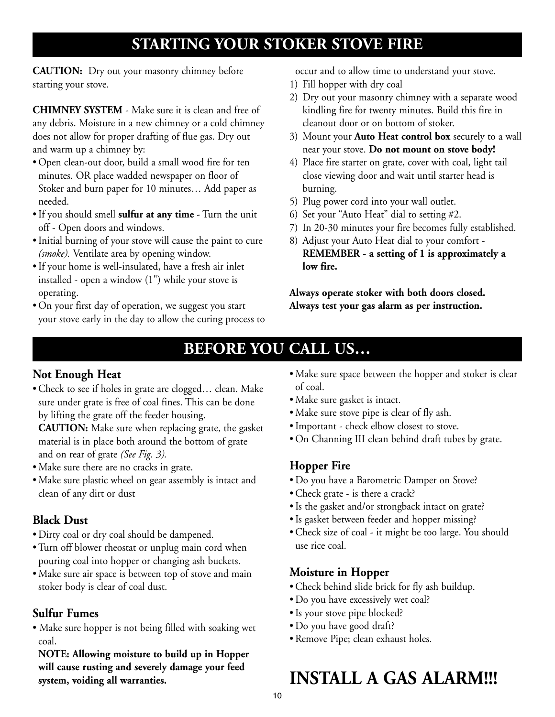# **STARTING YOUR STOKER STOVE FIRE**

**CAUTION:** Dry out your masonry chimney before starting your stove.

**CHIMNEY SYSTEM** - Make sure it is clean and free of any debris. Moisture in a new chimney or a cold chimney does not allow for proper drafting of flue gas. Dry out and warm up a chimney by:

- Open clean-out door, build a small wood fire for ten minutes. OR place wadded newspaper on floor of Stoker and burn paper for 10 minutes… Add paper as needed.
- If you should smell **sulfur at any time** Turn the unit off - Open doors and windows.
- Initial burning of your stove will cause the paint to cure *(smoke).* Ventilate area by opening window.
- If your home is well-insulated, have a fresh air inlet installed - open a window (1") while your stove is operating.
- On your first day of operation, we suggest you start your stove early in the day to allow the curing process to

occur and to allow time to understand your stove.

- 1) Fill hopper with dry coal
- 2) Dry out your masonry chimney with a separate wood kindling fire for twenty minutes. Build this fire in cleanout door or on bottom of stoker.
- 3) Mount your **Auto Heat control box** securely to a wall near your stove. **Do not mount on stove body!**
- 4) Place fire starter on grate, cover with coal, light tail close viewing door and wait until starter head is burning.
- 5) Plug power cord into your wall outlet.
- 6) Set your "Auto Heat" dial to setting #2.
- 7) In 20-30 minutes your fire becomes fully established.
- 8) Adjust your Auto Heat dial to your comfort **REMEMBER - a setting of 1 is approximately a low fire.**

**Always operate stoker with both doors closed. Always test your gas alarm as per instruction.**

# **BEFORE YOU CALL US…**

### **Not Enough Heat**

• Check to see if holes in grate are clogged… clean. Make sure under grate is free of coal fines. This can be done by lifting the grate off the feeder housing.

**CAUTION:** Make sure when replacing grate, the gasket material is in place both around the bottom of grate and on rear of grate *(See Fig. 3).*

- Make sure there are no cracks in grate.
- Make sure plastic wheel on gear assembly is intact and clean of any dirt or dust

### **Black Dust**

- Dirty coal or dry coal should be dampened.
- Turn off blower rheostat or unplug main cord when pouring coal into hopper or changing ash buckets.
- Make sure air space is between top of stove and main stoker body is clear of coal dust.

### **Sulfur Fumes**

• Make sure hopper is not being filled with soaking wet coal.

**NOTE: Allowing moisture to build up in Hopper will cause rusting and severely damage your feed system, voiding all warranties.**

- Make sure space between the hopper and stoker is clear of coal.
- Make sure gasket is intact.
- Make sure stove pipe is clear of fly ash.
- Important check elbow closest to stove.
- On Channing III clean behind draft tubes by grate.

### **Hopper Fire**

- Do you have a Barometric Damper on Stove?
- Check grate is there a crack?
- Is the gasket and/or strongback intact on grate?
- Is gasket between feeder and hopper missing?
- Check size of coal it might be too large. You should use rice coal.

### **Moisture in Hopper**

- Check behind slide brick for fly ash buildup.
- Do you have excessively wet coal?
- Is your stove pipe blocked?
- Do you have good draft?
- Remove Pipe; clean exhaust holes.

# **INSTALL A GAS ALARM!!!**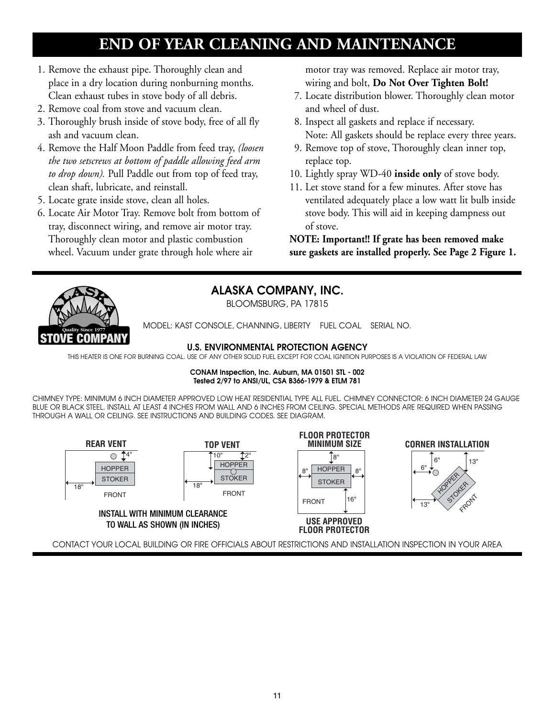# **END OF YEAR CLEANING AND MAINTENANCE**

- 1. Remove the exhaust pipe. Thoroughly clean and place in a dry location during nonburning months. Clean exhaust tubes in stove body of all debris.
- 2. Remove coal from stove and vacuum clean.
- 3. Thoroughly brush inside of stove body, free of all fly ash and vacuum clean.
- 4. Remove the Half Moon Paddle from feed tray, *(loosen the two setscrews at bottom of paddle allowing feed arm to drop down).* Pull Paddle out from top of feed tray, clean shaft, lubricate, and reinstall.
- 5. Locate grate inside stove, clean all holes.
- 6. Locate Air Motor Tray. Remove bolt from bottom of tray, disconnect wiring, and remove air motor tray. Thoroughly clean motor and plastic combustion wheel. Vacuum under grate through hole where air

motor tray was removed. Replace air motor tray, wiring and bolt, **Do Not Over Tighten Bolt!**

- 7. Locate distribution blower. Thoroughly clean motor and wheel of dust.
- 8. Inspect all gaskets and replace if necessary. Note: All gaskets should be replace every three years.
- 9. Remove top of stove, Thoroughly clean inner top, replace top.
- 10. Lightly spray WD-40 **inside only** of stove body.
- 11. Let stove stand for a few minutes. After stove has ventilated adequately place a low watt lit bulb inside stove body. This will aid in keeping dampness out of stove.

**NOTE: Important!! If grate has been removed make sure gaskets are installed properly. See Page 2 Figure 1.**



#### **ALASKA COMPANY, INC.**

BLOOMSBURG, PA 17815

MODEL: KAST CONSOLE, CHANNING, LIBERTY FUEL COAL SERIAL NO.

#### **U.S. ENVIRONMENTAL PROTECTION AGENCY**

THIS HEATER IS ONE FOR BURNING COAL. USE OF ANY OTHER SOLID FUEL EXCEPT FOR COAL IGNITION PURPOSES IS A VIOLATION OF FEDERAL LAW

#### **CONAM Inspection, Inc. Auburn, MA 01501 STL - 002 Tested 2/97 to ANSI/UL, CSA B366-1979 & ETLM 781**

CHIMNEY TYPE: MINIMUM 6 INCH DIAMETER APPROVED LOW HEAT RESIDENTIAL TYPE ALL FUEL. CHIMNEY CONNECTOR: 6 INCH DIAMETER 24 GAUGE BLUE OR BLACK STEEL. INSTALL AT LEAST 4 INCHES FROM WALL AND 6 INCHES FROM CEILING. SPECIAL METHODS ARE REQUIRED WHEN PASSING THROUGH A WALL OR CEILING. SEE INSTRUCTIONS AND BUILDING CODES. SEE DIAGRAM.



CONTACT YOUR LOCAL BUILDING OR FIRE OFFICIALS ABOUT RESTRICTIONS AND INSTALLATION INSPECTION IN YOUR AREA